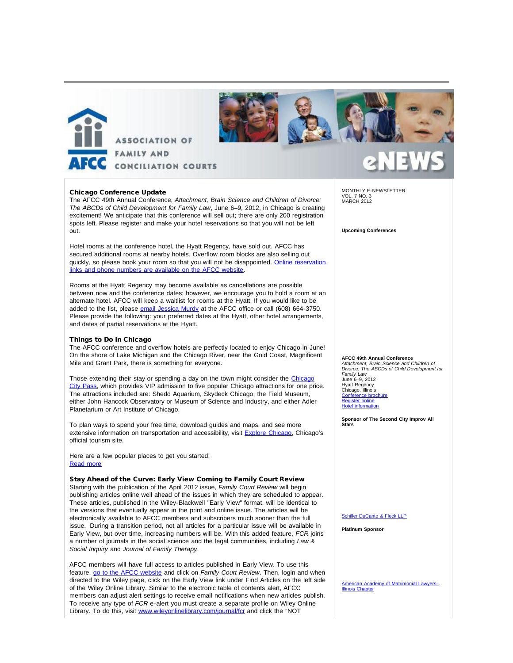



### Chicago Conference Update

The AFCC 49th Annual Conference, *Attachment, Brain Science and Children of Divorce: The ABCDs of Child Development for Family Law*, June 6–9, 2012, in Chicago is creating excitement! We anticipate that this conference will sell out; there are only 200 registration spots left. Please register and make your hotel reservations so that you will not be left out.

Hotel rooms at the conference hotel, the Hyatt Regency, have sold out. AFCC has secured additional rooms at nearby hotels. Overflow room blocks are also selling out quickly, so please book your room so that you will not be disappointed. [Online reservation](http://afcc.networkats.com/members_online/utilities/emailct.asp?4bf3aec1c0678c8854e350bb9d33d99868f3d97856f2af2bc34954edf13e6694fbacb2aab8ca84e2) [links and phone numbers are available on the AFCC website.](http://afcc.networkats.com/members_online/utilities/emailct.asp?4bf3aec1c0678c8854e350bb9d33d99868f3d97856f2af2bc34954edf13e6694fbacb2aab8ca84e2)

Rooms at the Hyatt Regency may become available as cancellations are possible between now and the conference dates; however, we encourage you to hold a room at an alternate hotel. AFCC will keep a waitlist for rooms at the Hyatt. If you would like to be added to the list, please [email Jessica Murdy](mailto:jmurdy@afccnet.org) at the AFCC office or call (608) 664-3750. Please provide the following: your preferred dates at the Hyatt, other hotel arrangements, and dates of partial reservations at the Hyatt.

### Things to Do in Chicago

The AFCC conference and overflow hotels are perfectly located to enjoy Chicago in June! On the shore of Lake Michigan and the Chicago River, near the Gold Coast, Magnificent Mile and Grant Park, there is something for everyone.

Those extending their stay or spending a day on the town might consider the [Chicago](http://afcc.networkats.com/members_online/utilities/emailct.asp?a867168ffb5e2c8b878a5659925a8f7da1ccc2fb56f2af2bc34954edf13e6694fbacb2aab8ca84e2) [City Pass](http://afcc.networkats.com/members_online/utilities/emailct.asp?a867168ffb5e2c8b878a5659925a8f7da1ccc2fb56f2af2bc34954edf13e6694fbacb2aab8ca84e2), which provides VIP admission to five popular Chicago attractions for one price. The attractions included are: Shedd Aquarium, Skydeck Chicago, the Field Museum, either John Hancock Observatory or Museum of Science and Industry, and either Adler Planetarium or Art Institute of Chicago.

To plan ways to spend your free time, download guides and maps, and see more extensive information on transportation and accessibility, visit [Explore Chicago](http://afcc.networkats.com/members_online/utilities/emailct.asp?0705ad4d6ea7f424d14a4ed500c2064b72d34b8356f2af2bc34954edf13e6694fbacb2aab8ca84e2), Chicago's official tourism site.

Here are a few popular places to get you started! [Read more](http://afcc.networkats.com/members_online/utilities/emailct.asp?cb27bcf014aae19f7560ba14f3cb39aa49719bc656f2af2bc34954edf13e6694fbacb2aab8ca84e2)

### Stay Ahead of the Curve: Early View Coming to Family Court Review

Starting with the publication of the April 2012 issue, *Family Court Review* will begin publishing articles online well ahead of the issues in which they are scheduled to appear. These articles, published in the Wiley-Blackwell "Early View" format, will be identical to the versions that eventually appear in the print and online issue. The articles will be electronically available to AFCC members and subscribers much sooner than the full issue. During a transition period, not all articles for a particular issue will be available in Early View, but over time, increasing numbers will be. With this added feature, *FCR* joins a number of journals in the social science and the legal communities, including *Law & Social Inquiry* and *Journal of Family Therapy*.

AFCC members will have full access to articles published in Early View. To use this feature, [go to the AFCC website](http://afcc.networkats.com/members_online/utilities/emailct.asp?a3a3417ccfaf6c7db3394246f372fb5fb294372456f2af2bc34954edf13e6694fbacb2aab8ca84e2) and click on *Family Court Review*. Then, login and when directed to the Wiley page, click on the Early View link under Find Articles on the left side of the Wiley Online Library. Similar to the electronic table of contents alert, AFCC members can adjust alert settings to receive email notifications when new articles publish. To receive any type of *FCR* e-alert you must create a separate profile on Wiley Online Library. To do this, visit [www.wileyonlinelibrary.com/journal/fcr](http://afcc.networkats.com/members_online/utilities/emailct.asp?a76ea6f40e2f167f2376261f497c4ec16ab83a0756f2af2bc34954edf13e6694fbacb2aab8ca84e2) and click the "NOT

MONTHLY E-NEWSLETTER VOL. 7 NO. 3 MARCH 2012

**Upcoming Conferences**

## **AFCC 49th Annual Conference**

*Attachment, Brain Science and Children of Divorce: The ABCDs of Child Development for Family Law* June 6–9, 2012 Hyatt Regency Chicago, Illinois Conference bro [Register online](http://afcc.networkats.com/members_online/utilities/emailct.asp?094cf5c0f6036d5f9694919e34041a22f727f9e956f2af2bc34954edf13e6694fbacb2aab8ca84e2) [Hotel information](http://afcc.networkats.com/members_online/utilities/emailct.asp?4bf3aec1c0678c8854e350bb9d33d99868f3d97856f2af2bc34954edf13e6694fbacb2aab8ca84e2)

**Sponsor of The Second City Improv All Stars**

[Schiller DuCanto & Fleck LLP](http://afcc.networkats.com/members_online/utilities/emailct.asp?075ffb9726646be8d289c60f9f627cb52cd5b17356f2af2bc34954edf13e6694fbacb2aab8ca84e2)

**Platinum Sponsor**

[American Academy of Matrimonial Lawyers–](http://afcc.networkats.com/members_online/utilities/emailct.asp?8fe1554b962a29c6410083f4159f3ce4f55bb39056f2af2bc34954edf13e6694fbacb2aab8ca84e2) **[Illinois Chapter](http://afcc.networkats.com/members_online/utilities/emailct.asp?8fe1554b962a29c6410083f4159f3ce4f55bb39056f2af2bc34954edf13e6694fbacb2aab8ca84e2)**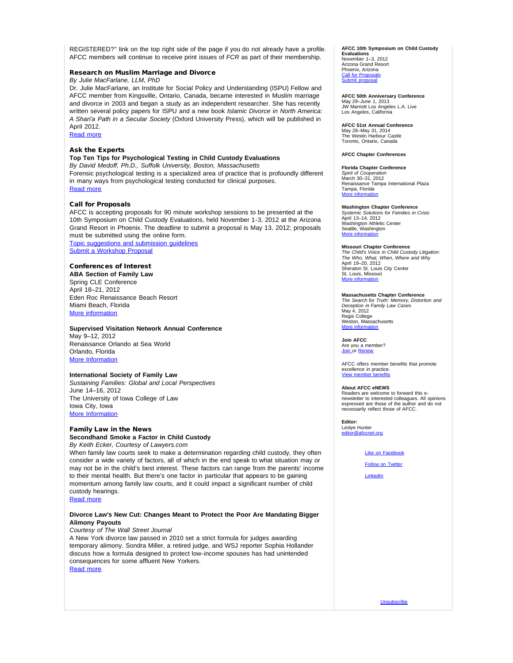REGISTERED?" link on the top right side of the page if you do not already have a profile. AFCC members will continue to receive print issues of *FCR* as part of their membership.

### Research on Muslim Marriage and Divorce

### *By Julie MacFarlane, LLM, PhD*

Dr. Julie MacFarlane, an Institute for Social Policy and Understanding (ISPU) Fellow and AFCC member from Kingsville, Ontario, Canada, became interested in Muslim marriage and divorce in 2003 and began a study as an independent researcher. She has recently written several policy papers for ISPU and a new book *Islamic Divorce in North America: A Shari'a Path in a Secular Society* (Oxford University Press), which will be published in April 2012.

[Read more](http://afcc.networkats.com/members_online/utilities/emailct.asp?8df9a2496cf580668bb6827103d69415149d3e2256f2af2bc34954edf13e6694fbacb2aab8ca84e2)

### Ask the Experts

### **Top Ten Tips for Psychological Testing in Child Custody Evaluations** *By David Medoff, Ph.D., Suffolk University, Boston, Massachusetts*

Forensic psychological testing is a specialized area of practice that is profoundly different in many ways from psychological testing conducted for clinical purposes. [Read more](http://afcc.networkats.com/members_online/utilities/emailct.asp?87cb982a3fe1893ef5cc47b6b3e023f5c3c5777e56f2af2bc34954edf13e6694fbacb2aab8ca84e2)

### Call for Proposals

AFCC is accepting proposals for 90 minute workshop sessions to be presented at the 10th Symposium on Child Custody Evaluations, held November 1-3, 2012 at the Arizona Grand Resort in Phoenix. The deadline to submit a proposal is May 13, 2012; proposals must be submitted using the online form.

[Topic suggestions and submission guidelines](http://afcc.networkats.com/members_online/utilities/emailct.asp?d3ce316ef2e58e26c9ed8cefb941e041e5dcc4ea56f2af2bc34954edf13e6694fbacb2aab8ca84e2) [Submit a Workshop Proposal](http://afcc.networkats.com/members_online/utilities/emailct.asp?2710a84e2d0b47b4b27914e046d4002dbd4cc53956f2af2bc34954edf13e6694fbacb2aab8ca84e2)

### Conferences of Interest

**ABA Section of Family Law** Spring CLE Conference April 18–21, 2012 Eden Roc Renaissance Beach Resort Miami Beach, Florida [More information](http://afcc.networkats.com/members_online/utilities/emailct.asp?b8fc05031e95b1051be8e541ce64a585decbdd9b56f2af2bc34954edf13e6694fbacb2aab8ca84e2)

#### **Supervised Visitation Network Annual Conference**

May 9–12, 2012 Renaissance Orlando at Sea World Orlando, Florida **[More Information](http://afcc.networkats.com/members_online/utilities/emailct.asp?740aa00a315795d3ba78a3d2251664cb9928fc8056f2af2bc34954edf13e6694fbacb2aab8ca84e2)** 

#### **International Society of Family Law**

*Sustaining Families: Global and Local Perspectives* June 14–16, 2012 The University of Iowa College of Law Iowa City, Iowa [More Information](http://afcc.networkats.com/members_online/utilities/emailct.asp?06acedaa23f00346a9af3fb2168516f0de066ab456f2af2bc34954edf13e6694fbacb2aab8ca84e2)

### Family Law in the News

**Secondhand Smoke a Factor in Child Custody** *By Keith Ecker, Courtesy of Lawyers.com*

When family law courts seek to make a determination regarding child custody, they often consider a wide variety of factors, all of which in the end speak to what situation may or may not be in the child's best interest. These factors can range from the parents' income to their mental health. But there's one factor in particular that appears to be gaining momentum among family law courts, and it could impact a significant number of child custody hearings.

### [Read more](http://afcc.networkats.com/members_online/utilities/emailct.asp?d1149355647f88825780d91488f725ec8b8634d256f2af2bc34954edf13e6694fbacb2aab8ca84e2)

### **Divorce Law's New Cut: Changes Meant to Protect the Poor Are Mandating Bigger Alimony Payouts**

*Courtesy of The Wall Street Journal*

A New York divorce law passed in 2010 set a strict formula for judges awarding temporary alimony. Sondra Miller, a retired judge, and WSJ reporter Sophia Hollander discuss how a formula designed to protect low-income spouses has had unintended consequences for some affluent New Yorkers. [Read more](http://afcc.networkats.com/members_online/utilities/emailct.asp?8e48df736b07476065d964a70a4fc67f516eb02656f2af2bc34954edf13e6694fbacb2aab8ca84e2)

#### **AFCC 10th Symposium on Child Custody Evaluations**

November 1–3, 2012 Arizona Grand Resort Phoenix, Arizona [Call for Proposals](http://afcc.networkats.com/members_online/utilities/emailct.asp?d3ce316ef2e58e26c9ed8cefb941e041e5dcc4ea56f2af2bc34954edf13e6694fbacb2aab8ca84e2) [Submit proposal](http://afcc.networkats.com/members_online/utilities/emailct.asp?2710a84e2d0b47b4b27914e046d4002dbd4cc53956f2af2bc34954edf13e6694fbacb2aab8ca84e2)

**AFCC 50th Anniversary Conference** May 29–June 1, 2013 JW Marriott Los Angeles L.A. Live Los Angeles, California

**AFCC 51st Annual Conference** May 28–May 31, 2014 The Westin Harbour Castle Toronto, Ontario, Canada

#### **AFCC Chapter Conferences**

**Florida Chapter Conference** *Spirit of Cooperation* March 30–31, 2012 Renaissance Tampa International Plaza Tampa, Florida [More information](http://afcc.networkats.com/members_online/utilities/emailct.asp?9d27bca374414cd3a2713777e9284de07bba9a4156f2af2bc34954edf13e6694fbacb2aab8ca84e2)

**Washington Chapter Conference** *Systemic Solutions for Families in Crisis* April 13–14, 2012 Washington Athletic Center Seattle, Washington [More information](http://afcc.networkats.com/members_online/utilities/emailct.asp?df2c4b78659647119a9e13e91f538d87d8a8a7ef56f2af2bc34954edf13e6694fbacb2aab8ca84e2)

#### **Missouri Chapter Conference**

*The Child's Voice in Child Custody Litigation: The Who, What, When, Where and Why* April 19–20, 2012 Sheraton St. Louis City Center St. Louis, Missouri [More information](http://afcc.networkats.com/members_online/utilities/emailct.asp?cb2716e38c8c0d678280e2bde35ea12b76ee810356f2af2bc34954edf13e6694fbacb2aab8ca84e2)

## **Massachusetts Chapter Conference** *The Search for Truth: Memory, Distortion and*

*Deception in Family Law Cases* May 4, 2012 Regis College Weston, Massachusetts [More information](http://afcc.networkats.com/members_online/utilities/emailct.asp?03468d031e5cb6511096afc8ecce2eb75eee27c256f2af2bc34954edf13e6694fbacb2aab8ca84e2)

**Join AFCC**

Are you a member? [Join o](http://afcc.networkats.com/members_online/utilities/emailct.asp?974bf1d1e69759ce80542254c8d48392e35d8b5756f2af2bc34954edf13e6694fbacb2aab8ca84e2)r [Renew](http://afcc.networkats.com/members_online/utilities/emailct.asp?900f5fafe82e0267f1beb5c9a4dcb6d722d6b2cf56f2af2bc34954edf13e6694fbacb2aab8ca84e2)

AFCC offers member benefits that promote excellence in practice. View member

#### **About AFCC eNEWS**

Readers are welcome to forward this e-newsletter to interested colleagues. All opinions expressed are those of the author and do not necessarily reflect those of AFCC.

**Editor:** Leslye Hunter editor<br>afccnet.org

#### [Like on Facebook](http://afcc.networkats.com/members_online/utilities/emailct.asp?2428e5b6c6efd254b74c78581ce155f9d060a14556f2af2bc34954edf13e6694fbacb2aab8ca84e2)

**[Follow on Twitter](http://afcc.networkats.com/members_online/utilities/emailct.asp?ae5638b312282e9761a0e95b5ce9ce29d43b50bc56f2af2bc34954edf13e6694fbacb2aab8ca84e2)** 

[LinkedIn](http://afcc.networkats.com/members_online/utilities/emailct.asp?fc0d45512cc2bd9a56943c2e3c2c479844a1acbe56f2af2bc34954edf13e6694fbacb2aab8ca84e2)

[Unsubscribe](mailto:afcc@afccnet.org)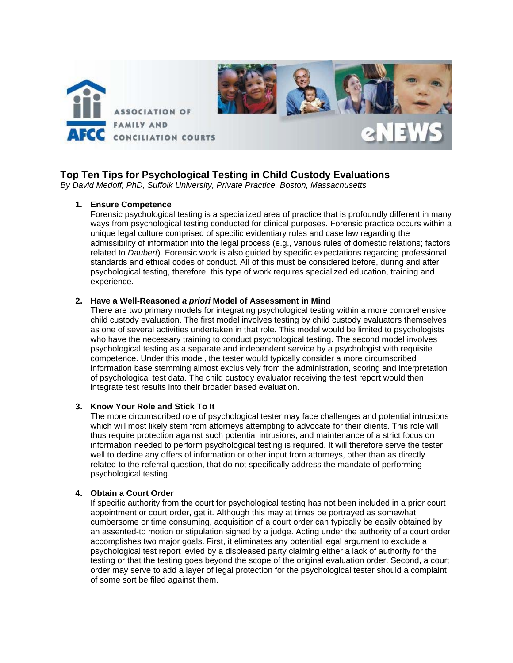

# **Top Ten Tips for Psychological Testing in Child Custody Evaluations**

*By David Medoff, PhD, Suffolk University, Private Practice, Boston, Massachusetts* 

## **1. Ensure Competence**

Forensic psychological testing is a specialized area of practice that is profoundly different in many ways from psychological testing conducted for clinical purposes. Forensic practice occurs within a unique legal culture comprised of specific evidentiary rules and case law regarding the admissibility of information into the legal process (e.g., various rules of domestic relations; factors related to *Daubert*). Forensic work is also guided by specific expectations regarding professional standards and ethical codes of conduct. All of this must be considered before, during and after psychological testing, therefore, this type of work requires specialized education, training and experience.

## **2. Have a Well-Reasoned** *a priori* **Model of Assessment in Mind**

There are two primary models for integrating psychological testing within a more comprehensive child custody evaluation. The first model involves testing by child custody evaluators themselves as one of several activities undertaken in that role. This model would be limited to psychologists who have the necessary training to conduct psychological testing. The second model involves psychological testing as a separate and independent service by a psychologist with requisite competence. Under this model, the tester would typically consider a more circumscribed information base stemming almost exclusively from the administration, scoring and interpretation of psychological test data. The child custody evaluator receiving the test report would then integrate test results into their broader based evaluation.

## **3. Know Your Role and Stick To It**

The more circumscribed role of psychological tester may face challenges and potential intrusions which will most likely stem from attorneys attempting to advocate for their clients. This role will thus require protection against such potential intrusions, and maintenance of a strict focus on information needed to perform psychological testing is required. It will therefore serve the tester well to decline any offers of information or other input from attorneys, other than as directly related to the referral question, that do not specifically address the mandate of performing psychological testing.

## **4. Obtain a Court Order**

If specific authority from the court for psychological testing has not been included in a prior court appointment or court order, get it. Although this may at times be portrayed as somewhat cumbersome or time consuming, acquisition of a court order can typically be easily obtained by an assented-to motion or stipulation signed by a judge. Acting under the authority of a court order accomplishes two major goals. First, it eliminates any potential legal argument to exclude a psychological test report levied by a displeased party claiming either a lack of authority for the testing or that the testing goes beyond the scope of the original evaluation order. Second, a court order may serve to add a layer of legal protection for the psychological tester should a complaint of some sort be filed against them.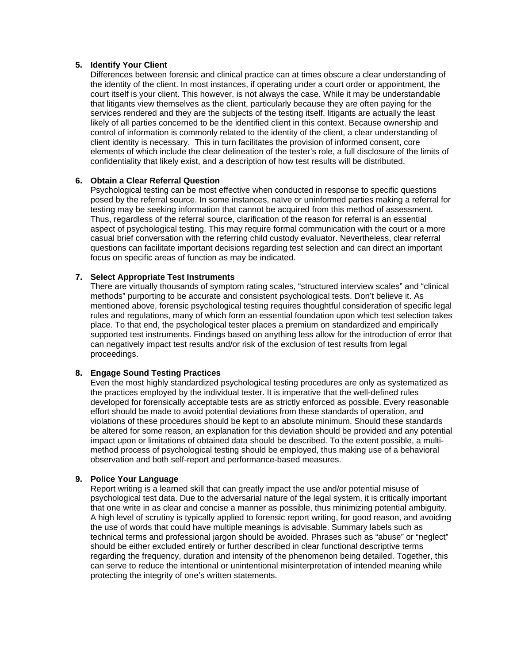## **5. Identify Your Client**

Differences between forensic and clinical practice can at times obscure a clear understanding of the identity of the client. In most instances, if operating under a court order or appointment, the court itself is your client. This however, is not always the case. While it may be understandable that litigants view themselves as the client, particularly because they are often paying for the services rendered and they are the subjects of the testing itself, litigants are actually the least likely of all parties concerned to be the identified client in this context. Because ownership and control of information is commonly related to the identity of the client, a clear understanding of client identity is necessary. This in turn facilitates the provision of informed consent, core elements of which include the clear delineation of the tester's role, a full disclosure of the limits of confidentiality that likely exist, and a description of how test results will be distributed.

## **6. Obtain a Clear Referral Question**

Psychological testing can be most effective when conducted in response to specific questions posed by the referral source. In some instances, naïve or uninformed parties making a referral for testing may be seeking information that cannot be acquired from this method of assessment. Thus, regardless of the referral source, clarification of the reason for referral is an essential aspect of psychological testing. This may require formal communication with the court or a more casual brief conversation with the referring child custody evaluator. Nevertheless, clear referral questions can facilitate important decisions regarding test selection and can direct an important focus on specific areas of function as may be indicated.

## **7. Select Appropriate Test Instruments**

There are virtually thousands of symptom rating scales, "structured interview scales" and "clinical methods" purporting to be accurate and consistent psychological tests. Don't believe it. As mentioned above, forensic psychological testing requires thoughtful consideration of specific legal rules and regulations, many of which form an essential foundation upon which test selection takes place. To that end, the psychological tester places a premium on standardized and empirically supported test instruments. Findings based on anything less allow for the introduction of error that can negatively impact test results and/or risk of the exclusion of test results from legal proceedings.

## **8. Engage Sound Testing Practices**

Even the most highly standardized psychological testing procedures are only as systematized as the practices employed by the individual tester. It is imperative that the well-defined rules developed for forensically acceptable tests are as strictly enforced as possible. Every reasonable effort should be made to avoid potential deviations from these standards of operation, and violations of these procedures should be kept to an absolute minimum. Should these standards be altered for some reason, an explanation for this deviation should be provided and any potential impact upon or limitations of obtained data should be described. To the extent possible, a multimethod process of psychological testing should be employed, thus making use of a behavioral observation and both self-report and performance-based measures.

## **9. Police Your Language**

Report writing is a learned skill that can greatly impact the use and/or potential misuse of psychological test data. Due to the adversarial nature of the legal system, it is critically important that one write in as clear and concise a manner as possible, thus minimizing potential ambiguity. A high level of scrutiny is typically applied to forensic report writing, for good reason, and avoiding the use of words that could have multiple meanings is advisable. Summary labels such as technical terms and professional jargon should be avoided. Phrases such as "abuse" or "neglect" should be either excluded entirely or further described in clear functional descriptive terms regarding the frequency, duration and intensity of the phenomenon being detailed. Together, this can serve to reduce the intentional or unintentional misinterpretation of intended meaning while protecting the integrity of one's written statements.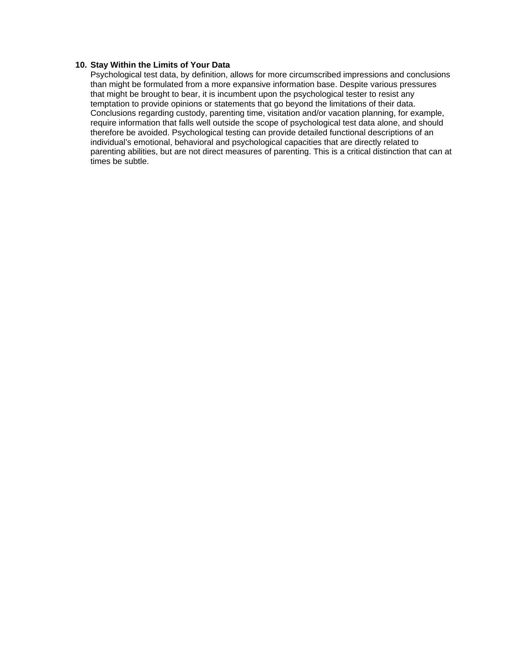## **10. Stay Within the Limits of Your Data**

Psychological test data, by definition, allows for more circumscribed impressions and conclusions than might be formulated from a more expansive information base. Despite various pressures that might be brought to bear, it is incumbent upon the psychological tester to resist any temptation to provide opinions or statements that go beyond the limitations of their data. Conclusions regarding custody, parenting time, visitation and/or vacation planning, for example, require information that falls well outside the scope of psychological test data alone, and should therefore be avoided. Psychological testing can provide detailed functional descriptions of an individual's emotional, behavioral and psychological capacities that are directly related to parenting abilities, but are not direct measures of parenting. This is a critical distinction that can at times be subtle.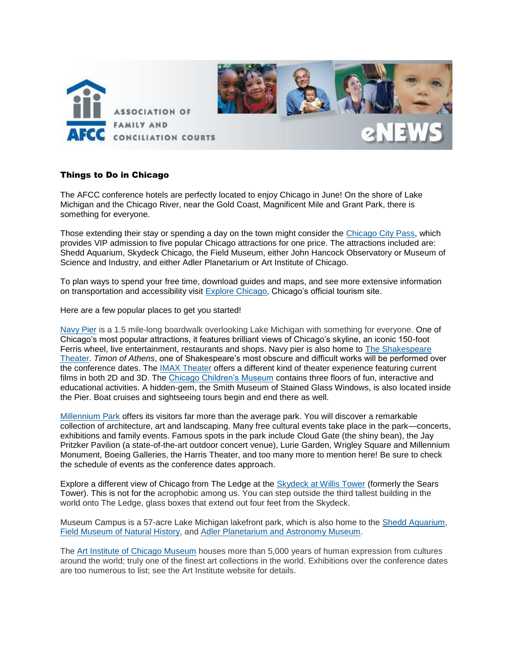

## Things to Do in Chicago

The AFCC conference hotels are perfectly located to enjoy Chicago in June! On the shore of Lake Michigan and the Chicago River, near the Gold Coast, Magnificent Mile and Grant Park, there is something for everyone.

Those extending their stay or spending a day on the town might consider the [Chicago City Pass,](http://www.citypass.com/chicago) which provides VIP admission to five popular Chicago attractions for one price. The attractions included are: Shedd Aquarium, Skydeck Chicago, the Field Museum, either John Hancock Observatory or Museum of Science and Industry, and either Adler Planetarium or Art Institute of Chicago.

To plan ways to spend your free time, download guides and maps, and see more extensive information on transportation and accessibility visit [Explore Chicago](http://www.explorechicago.org/city/en.html), Chicago's official tourism site.

Here are a few popular places to get you started!

[Navy Pier](http://www.navypier.com/) is a 1.5 mile-long boardwalk overlooking Lake Michigan with something for everyone. One of Chicago's most popular attractions, it features brilliant views of Chicago's skyline, an iconic 150-foot Ferris wheel, live entertainment, restaurants and shops. Navy pier is also home to [The Shakespeare](http://www.chicagoshakes.com/) [Theater.](http://www.chicagoshakes.com/) *Timon of Athens*, one of Shakespeare's most obscure and difficult works will be performed over the conference dates. The **IMAX Theater offers a different kind of theater experience featuring current** films in both 2D and 3D. The [Chicago Children's Museum](http://www.chicagochildrensmuseum.org/) contains three floors of fun, interactive and educational activities. A hidden-gem, the Smith Museum of Stained Glass Windows, is also located inside the Pier. Boat cruises and sightseeing tours begin and end there as well.

[Millennium Park](http://www.explorechicago.org/city/en/millennium.html) offers its visitors far more than the average park. You will discover a remarkable collection of architecture, art and landscaping. Many free cultural events take place in the park—concerts, exhibitions and family events. Famous spots in the park include Cloud Gate (the shiny bean), the Jay Pritzker Pavilion (a state-of-the-art outdoor concert venue), Lurie Garden, Wrigley Square and Millennium Monument, Boeing Galleries, the Harris Theater, and too many more to mention here! Be sure to check the schedule of events as the conference dates approach.

Explore a different view of Chicago from The Ledge at the [Skydeck at Willis Tower](http://www.theskydeck.com/) (formerly the Sears Tower). This is not for the acrophobic among us. You can step outside the third tallest building in the world onto The Ledge, glass boxes that extend out four feet from the Skydeck.

Museum Campus is a 57-acre Lake Michigan lakefront park, which is also home to the [Shedd Aquarium,](http://www.sheddaquarium.org/) [Field Museum of Natural History,](http://fieldmuseum.org/) and [Adler Planetarium and Astronomy Museum.](http://www.adlerplanetarium.org/)

The [Art Institute of Chicago Museum](http://www.artic.edu/aic/) houses more than 5,000 years of human expression from cultures around the world; truly one of the finest art collections in the world. Exhibitions over the conference dates are too numerous to list; see the Art Institute website for details.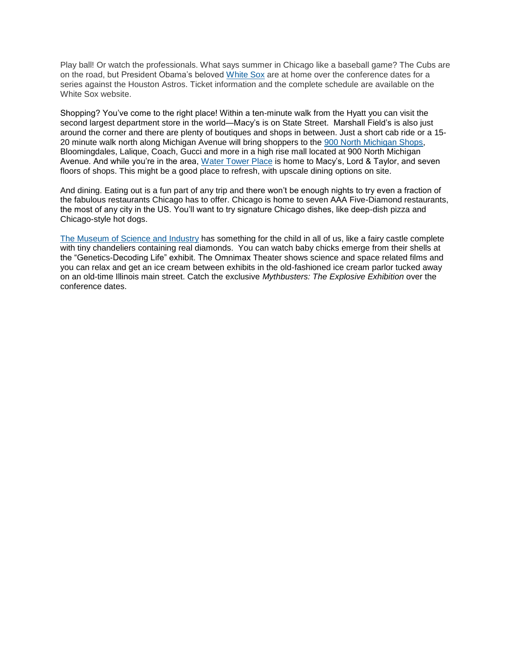Play ball! Or watch the professionals. What says summer in Chicago like a baseball game? The Cubs are on the road, but President Obama's beloved [White Sox](http://chicago.whitesox.mlb.com/index.jsp?c_id=cws) are at home over the conference dates for a series against the Houston Astros. Ticket information and the complete schedule are available on the White Sox website.

Shopping? You've come to the right place! Within a ten-minute walk from the Hyatt you can visit the second largest department store in the world—Macy's is on State Street. Marshall Field's is also just around the corner and there are plenty of boutiques and shops in between. Just a short cab ride or a 15- 20 minute walk north along Michigan Avenue will bring shoppers to the [900 North Michigan Shops,](http://www.shop900.com/) Bloomingdales, Lalique, Coach, Gucci and more in a high rise mall located at 900 North Michigan Avenue. And while you're in the area, [Water Tower](http://www.shopwatertower.com/) Place is home to Macy's, Lord & Taylor, and seven floors of shops. This might be a good place to refresh, with upscale dining options on site.

And dining. Eating out is a fun part of any trip and there won't be enough nights to try even a fraction of the fabulous restaurants Chicago has to offer. Chicago is home to seven AAA Five-Diamond restaurants, the most of any city in the US. You'll want to try signature Chicago dishes, like deep-dish pizza and Chicago-style hot dogs.

[The Museum of Science and Industry](http://www.msichicago.org/) has something for the child in all of us, like a fairy castle complete with tiny chandeliers containing real diamonds. You can watch baby chicks emerge from their shells at the "Genetics-Decoding Life" exhibit. The Omnimax Theater shows science and space related films and you can relax and get an ice cream between exhibits in the old-fashioned ice cream parlor tucked away on an old-time Illinois main street. Catch the exclusive *Mythbusters: The Explosive Exhibition* over the conference dates.